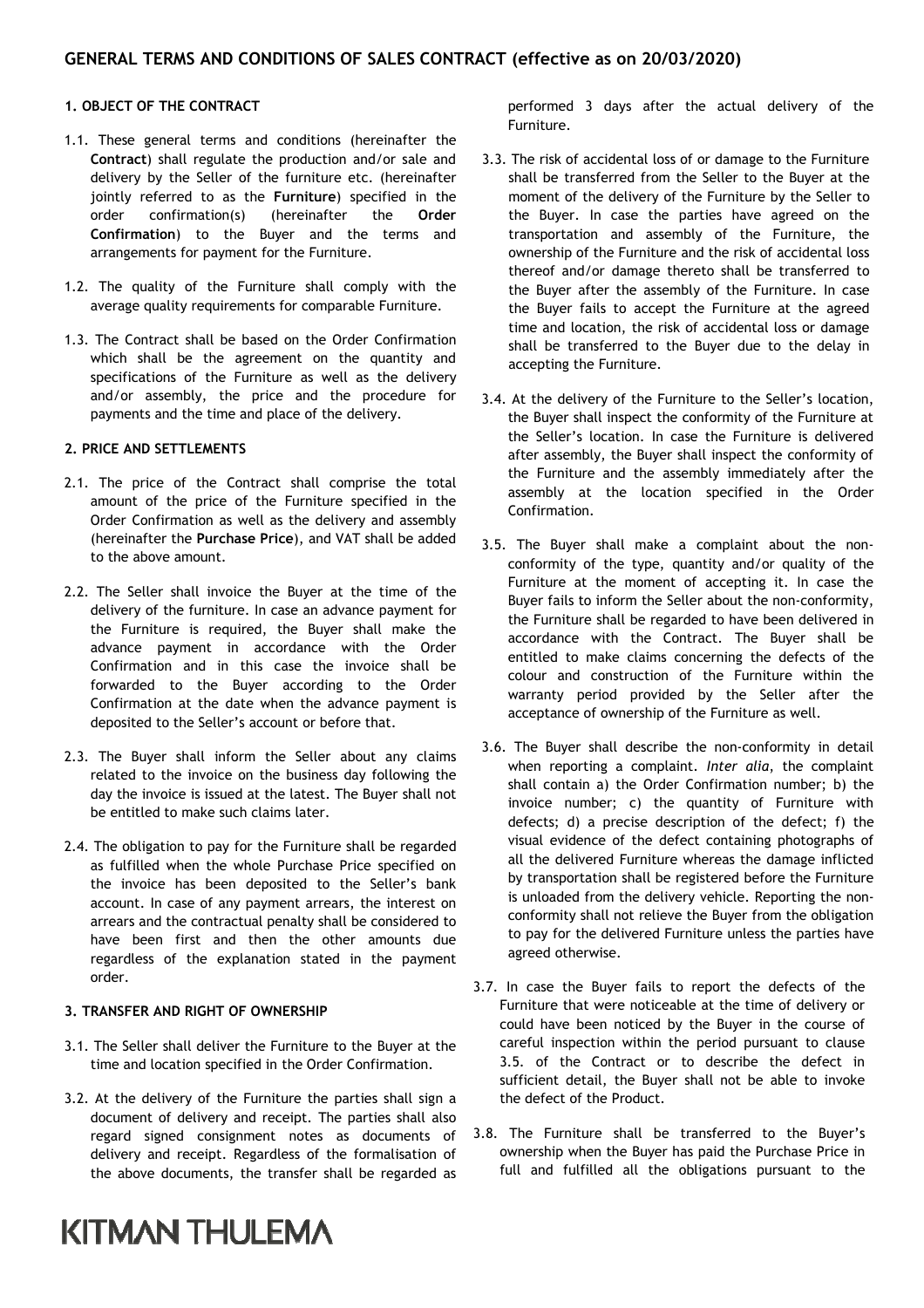### 1. OBJECT OF THE CONTRACT

- 1.1. These general terms and conditions (hereinafter the Contract) shall regulate the production and/or sale and delivery by the Seller of the furniture etc. (hereinafter jointly referred to as the Furniture) specified in the order confirmation(s) (hereinafter the Order Confirmation) to the Buyer and the terms and arrangements for payment for the Furniture.
- 1.2. The quality of the Furniture shall comply with the average quality requirements for comparable Furniture.
- 1.3. The Contract shall be based on the Order Confirmation which shall be the agreement on the quantity and specifications of the Furniture as well as the delivery and/or assembly, the price and the procedure for payments and the time and place of the delivery.

### 2. PRICE AND SETTLEMENTS

- 2.1. The price of the Contract shall comprise the total amount of the price of the Furniture specified in the Order Confirmation as well as the delivery and assembly (hereinafter the Purchase Price), and VAT shall be added to the above amount.
- 2.2. The Seller shall invoice the Buyer at the time of the delivery of the furniture. In case an advance payment for the Furniture is required, the Buyer shall make the advance payment in accordance with the Order Confirmation and in this case the invoice shall be forwarded to the Buyer according to the Order Confirmation at the date when the advance payment is deposited to the Seller's account or before that.
- 2.3. The Buyer shall inform the Seller about any claims related to the invoice on the business day following the day the invoice is issued at the latest. The Buyer shall not be entitled to make such claims later.
- 2.4. The obligation to pay for the Furniture shall be regarded as fulfilled when the whole Purchase Price specified on the invoice has been deposited to the Seller's bank account. In case of any payment arrears, the interest on arrears and the contractual penalty shall be considered to have been first and then the other amounts due regardless of the explanation stated in the payment order.

### 3. TRANSFER AND RIGHT OF OWNERSHIP

- 3.1. The Seller shall deliver the Furniture to the Buyer at the time and location specified in the Order Confirmation.
- 3.2. At the delivery of the Furniture the parties shall sign a document of delivery and receipt. The parties shall also regard signed consignment notes as documents of delivery and receipt. Regardless of the formalisation of the above documents, the transfer shall be regarded as

## **KITMAN THULEMA**

performed 3 days after the actual delivery of the Furniture.

- 3.3. The risk of accidental loss of or damage to the Furniture shall be transferred from the Seller to the Buyer at the moment of the delivery of the Furniture by the Seller to the Buyer. In case the parties have agreed on the transportation and assembly of the Furniture, the ownership of the Furniture and the risk of accidental loss thereof and/or damage thereto shall be transferred to the Buyer after the assembly of the Furniture. In case the Buyer fails to accept the Furniture at the agreed time and location, the risk of accidental loss or damage shall be transferred to the Buyer due to the delay in accepting the Furniture.
- 3.4. At the delivery of the Furniture to the Seller's location, the Buyer shall inspect the conformity of the Furniture at the Seller's location. In case the Furniture is delivered after assembly, the Buyer shall inspect the conformity of the Furniture and the assembly immediately after the assembly at the location specified in the Order Confirmation.
- 3.5. The Buyer shall make a complaint about the nonconformity of the type, quantity and/or quality of the Furniture at the moment of accepting it. In case the Buyer fails to inform the Seller about the non-conformity, the Furniture shall be regarded to have been delivered in accordance with the Contract. The Buyer shall be entitled to make claims concerning the defects of the colour and construction of the Furniture within the warranty period provided by the Seller after the acceptance of ownership of the Furniture as well.
- 3.6. The Buyer shall describe the non-conformity in detail when reporting a complaint. Inter alia, the complaint shall contain a) the Order Confirmation number; b) the invoice number; c) the quantity of Furniture with defects; d) a precise description of the defect; f) the visual evidence of the defect containing photographs of all the delivered Furniture whereas the damage inflicted by transportation shall be registered before the Furniture is unloaded from the delivery vehicle. Reporting the nonconformity shall not relieve the Buyer from the obligation to pay for the delivered Furniture unless the parties have agreed otherwise.
- 3.7. In case the Buyer fails to report the defects of the Furniture that were noticeable at the time of delivery or could have been noticed by the Buyer in the course of careful inspection within the period pursuant to clause 3.5. of the Contract or to describe the defect in sufficient detail, the Buyer shall not be able to invoke the defect of the Product.
- 3.8. The Furniture shall be transferred to the Buyer's ownership when the Buyer has paid the Purchase Price in full and fulfilled all the obligations pursuant to the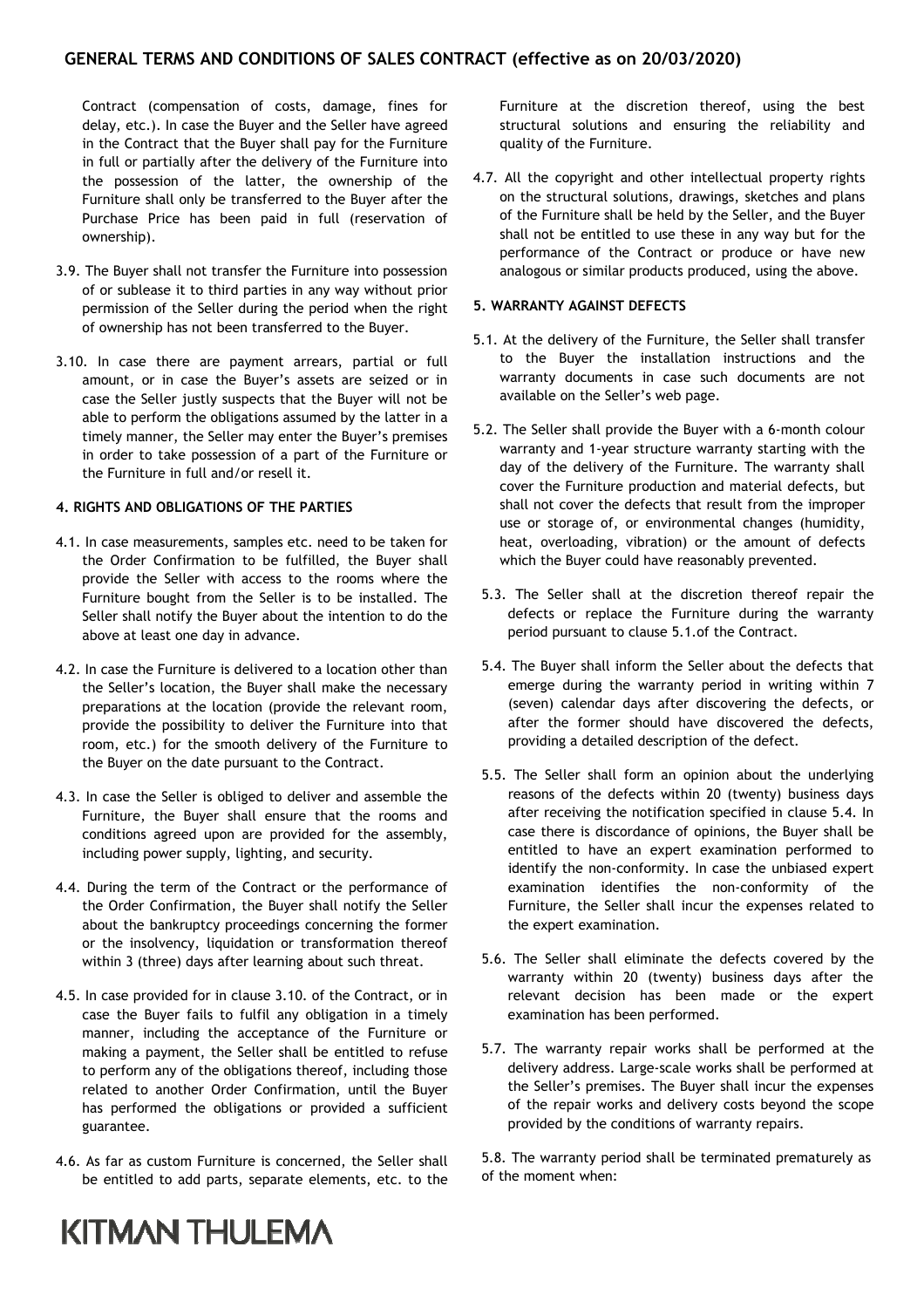Contract (compensation of costs, damage, fines for delay, etc.). In case the Buyer and the Seller have agreed in the Contract that the Buyer shall pay for the Furniture in full or partially after the delivery of the Furniture into the possession of the latter, the ownership of the Furniture shall only be transferred to the Buyer after the Purchase Price has been paid in full (reservation of ownership).

- 3.9. The Buyer shall not transfer the Furniture into possession of or sublease it to third parties in any way without prior permission of the Seller during the period when the right of ownership has not been transferred to the Buyer.
- 3.10. In case there are payment arrears, partial or full amount, or in case the Buyer's assets are seized or in case the Seller justly suspects that the Buyer will not be able to perform the obligations assumed by the latter in a timely manner, the Seller may enter the Buyer's premises in order to take possession of a part of the Furniture or the Furniture in full and/or resell it.

### 4. RIGHTS AND OBLIGATIONS OF THE PARTIES

- 4.1. In case measurements, samples etc. need to be taken for the Order Confirmation to be fulfilled, the Buyer shall provide the Seller with access to the rooms where the Furniture bought from the Seller is to be installed. The Seller shall notify the Buyer about the intention to do the above at least one day in advance.
- 4.2. In case the Furniture is delivered to a location other than the Seller's location, the Buyer shall make the necessary preparations at the location (provide the relevant room, provide the possibility to deliver the Furniture into that room, etc.) for the smooth delivery of the Furniture to the Buyer on the date pursuant to the Contract.
- 4.3. In case the Seller is obliged to deliver and assemble the Furniture, the Buyer shall ensure that the rooms and conditions agreed upon are provided for the assembly, including power supply, lighting, and security.
- 4.4. During the term of the Contract or the performance of the Order Confirmation, the Buyer shall notify the Seller about the bankruptcy proceedings concerning the former or the insolvency, liquidation or transformation thereof within 3 (three) days after learning about such threat.
- 4.5. In case provided for in clause 3.10. of the Contract, or in case the Buyer fails to fulfil any obligation in a timely manner, including the acceptance of the Furniture or making a payment, the Seller shall be entitled to refuse to perform any of the obligations thereof, including those related to another Order Confirmation, until the Buyer has performed the obligations or provided a sufficient guarantee.
- 4.6. As far as custom Furniture is concerned, the Seller shall be entitled to add parts, separate elements, etc. to the

Furniture at the discretion thereof, using the best structural solutions and ensuring the reliability and quality of the Furniture.

4.7. All the copyright and other intellectual property rights on the structural solutions, drawings, sketches and plans of the Furniture shall be held by the Seller, and the Buyer shall not be entitled to use these in any way but for the performance of the Contract or produce or have new analogous or similar products produced, using the above.

### 5. WARRANTY AGAINST DEFECTS

- 5.1. At the delivery of the Furniture, the Seller shall transfer to the Buyer the installation instructions and the warranty documents in case such documents are not available on the Seller's web page.
- 5.2. The Seller shall provide the Buyer with a 6-month colour warranty and 1-year structure warranty starting with the day of the delivery of the Furniture. The warranty shall cover the Furniture production and material defects, but shall not cover the defects that result from the improper use or storage of, or environmental changes (humidity, heat, overloading, vibration) or the amount of defects which the Buyer could have reasonably prevented.
- 5.3. The Seller shall at the discretion thereof repair the defects or replace the Furniture during the warranty period pursuant to clause 5.1.of the Contract.
- 5.4. The Buyer shall inform the Seller about the defects that emerge during the warranty period in writing within 7 (seven) calendar days after discovering the defects, or after the former should have discovered the defects, providing a detailed description of the defect.
- 5.5. The Seller shall form an opinion about the underlying reasons of the defects within 20 (twenty) business days after receiving the notification specified in clause 5.4. In case there is discordance of opinions, the Buyer shall be entitled to have an expert examination performed to identify the non-conformity. In case the unbiased expert examination identifies the non-conformity of the Furniture, the Seller shall incur the expenses related to the expert examination.
- 5.6. The Seller shall eliminate the defects covered by the warranty within 20 (twenty) business days after the relevant decision has been made or the expert examination has been performed.
- 5.7. The warranty repair works shall be performed at the delivery address. Large-scale works shall be performed at the Seller's premises. The Buyer shall incur the expenses of the repair works and delivery costs beyond the scope provided by the conditions of warranty repairs.

5.8. The warranty period shall be terminated prematurely as of the moment when:

# **KITMAN THULEMA**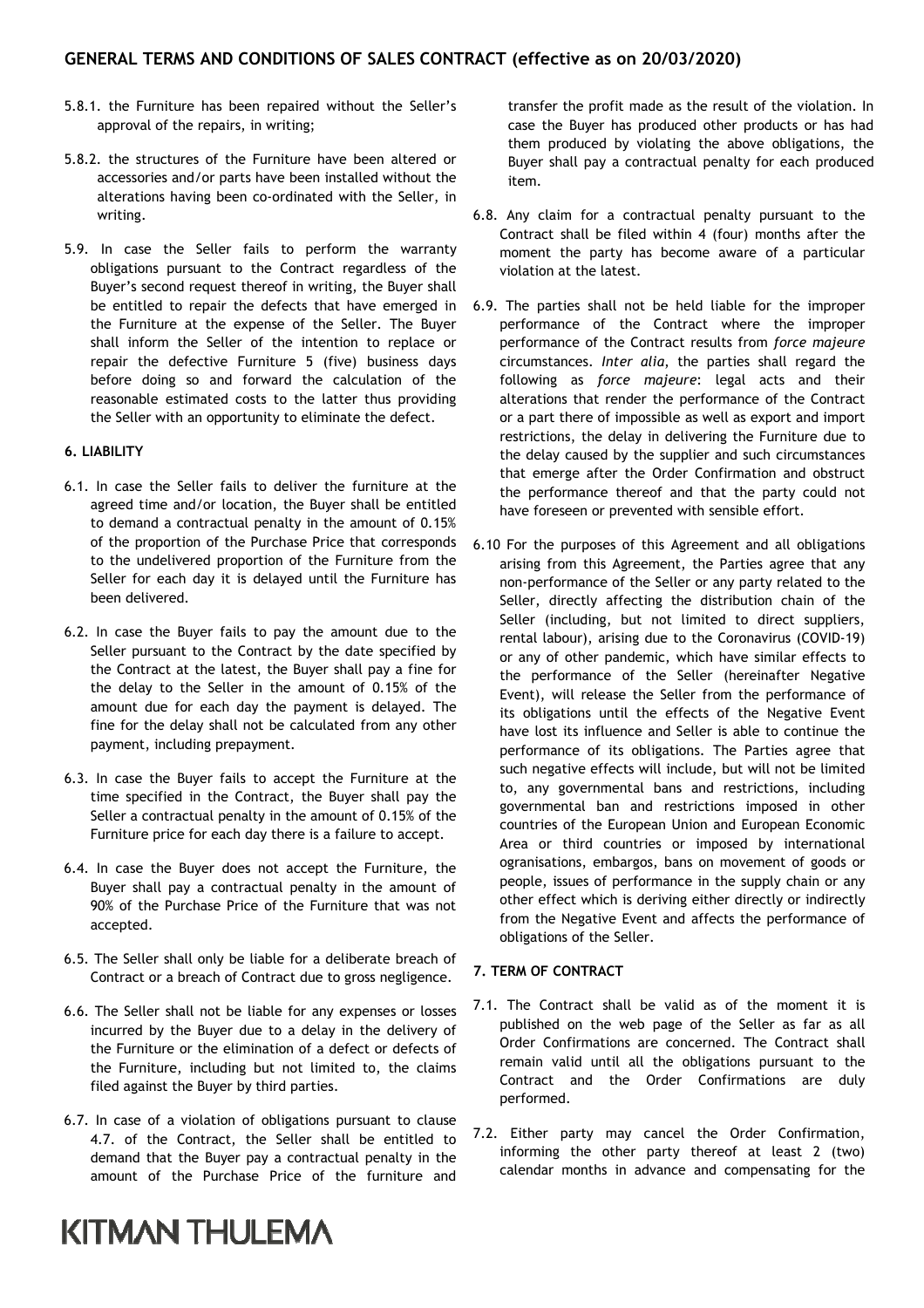- 5.8.1. the Furniture has been repaired without the Seller's approval of the repairs, in writing;
- 5.8.2. the structures of the Furniture have been altered or accessories and/or parts have been installed without the alterations having been co-ordinated with the Seller, in writing.
- 5.9. In case the Seller fails to perform the warranty obligations pursuant to the Contract regardless of the Buyer's second request thereof in writing, the Buyer shall be entitled to repair the defects that have emerged in the Furniture at the expense of the Seller. The Buyer shall inform the Seller of the intention to replace or repair the defective Furniture 5 (five) business days before doing so and forward the calculation of the reasonable estimated costs to the latter thus providing the Seller with an opportunity to eliminate the defect.

### 6. LIABILITY

- 6.1. In case the Seller fails to deliver the furniture at the agreed time and/or location, the Buyer shall be entitled to demand a contractual penalty in the amount of 0.15% of the proportion of the Purchase Price that corresponds to the undelivered proportion of the Furniture from the Seller for each day it is delayed until the Furniture has been delivered.
- 6.2. In case the Buyer fails to pay the amount due to the Seller pursuant to the Contract by the date specified by the Contract at the latest, the Buyer shall pay a fine for the delay to the Seller in the amount of 0.15% of the amount due for each day the payment is delayed. The fine for the delay shall not be calculated from any other payment, including prepayment.
- 6.3. In case the Buyer fails to accept the Furniture at the time specified in the Contract, the Buyer shall pay the Seller a contractual penalty in the amount of 0.15% of the Furniture price for each day there is a failure to accept.
- 6.4. In case the Buyer does not accept the Furniture, the Buyer shall pay a contractual penalty in the amount of 90% of the Purchase Price of the Furniture that was not accepted.
- 6.5. The Seller shall only be liable for a deliberate breach of Contract or a breach of Contract due to gross negligence.
- 6.6. The Seller shall not be liable for any expenses or losses incurred by the Buyer due to a delay in the delivery of the Furniture or the elimination of a defect or defects of the Furniture, including but not limited to, the claims filed against the Buyer by third parties.
- 6.7. In case of a violation of obligations pursuant to clause 4.7. of the Contract, the Seller shall be entitled to demand that the Buyer pay a contractual penalty in the amount of the Purchase Price of the furniture and

## **KITMAN THULEMA**

transfer the profit made as the result of the violation. In case the Buyer has produced other products or has had them produced by violating the above obligations, the Buyer shall pay a contractual penalty for each produced item.

- 6.8. Any claim for a contractual penalty pursuant to the Contract shall be filed within 4 (four) months after the moment the party has become aware of a particular violation at the latest.
- 6.9. The parties shall not be held liable for the improper performance of the Contract where the improper performance of the Contract results from force majeure circumstances. Inter alia, the parties shall regard the following as force majeure: legal acts and their alterations that render the performance of the Contract or a part there of impossible as well as export and import restrictions, the delay in delivering the Furniture due to the delay caused by the supplier and such circumstances that emerge after the Order Confirmation and obstruct the performance thereof and that the party could not have foreseen or prevented with sensible effort.
- 6.10 For the purposes of this Agreement and all obligations arising from this Agreement, the Parties agree that any non-performance of the Seller or any party related to the Seller, directly affecting the distribution chain of the Seller (including, but not limited to direct suppliers, rental labour), arising due to the Coronavirus (COVID-19) or any of other pandemic, which have similar effects to the performance of the Seller (hereinafter Negative Event), will release the Seller from the performance of its obligations until the effects of the Negative Event have lost its influence and Seller is able to continue the performance of its obligations. The Parties agree that such negative effects will include, but will not be limited to, any governmental bans and restrictions, including governmental ban and restrictions imposed in other countries of the European Union and European Economic Area or third countries or imposed by international ogranisations, embargos, bans on movement of goods or people, issues of performance in the supply chain or any other effect which is deriving either directly or indirectly from the Negative Event and affects the performance of obligations of the Seller.

### 7. TERM OF CONTRACT

- 7.1. The Contract shall be valid as of the moment it is published on the web page of the Seller as far as all Order Confirmations are concerned. The Contract shall remain valid until all the obligations pursuant to the Contract and the Order Confirmations are duly performed.
- 7.2. Either party may cancel the Order Confirmation, informing the other party thereof at least 2 (two) calendar months in advance and compensating for the